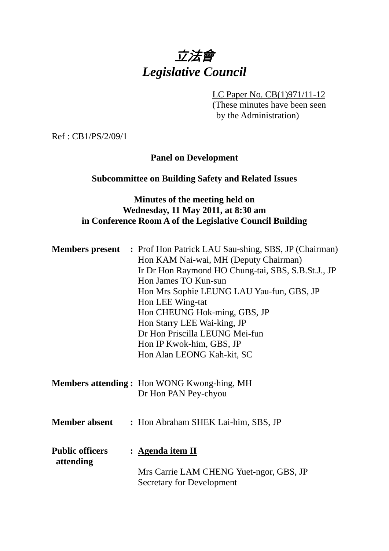# 立法會 *Legislative Council*

LC Paper No. CB(1)971/11-12

(These minutes have been seen by the Administration)

Ref : CB1/PS/2/09/1

## **Panel on Development**

## **Subcommittee on Building Safety and Related Issues**

#### **Minutes of the meeting held on Wednesday, 11 May 2011, at 8:30 am in Conference Room A of the Legislative Council Building**

| <b>Members present</b>              | : Prof Hon Patrick LAU Sau-shing, SBS, JP (Chairman)<br>Hon KAM Nai-wai, MH (Deputy Chairman)<br>Ir Dr Hon Raymond HO Chung-tai, SBS, S.B.St.J., JP<br>Hon James TO Kun-sun<br>Hon Mrs Sophie LEUNG LAU Yau-fun, GBS, JP<br>Hon LEE Wing-tat<br>Hon CHEUNG Hok-ming, GBS, JP<br>Hon Starry LEE Wai-king, JP<br>Dr Hon Priscilla LEUNG Mei-fun<br>Hon IP Kwok-him, GBS, JP<br>Hon Alan LEONG Kah-kit, SC |
|-------------------------------------|---------------------------------------------------------------------------------------------------------------------------------------------------------------------------------------------------------------------------------------------------------------------------------------------------------------------------------------------------------------------------------------------------------|
|                                     | <b>Members attending:</b> Hon WONG Kwong-hing, MH<br>Dr Hon PAN Pey-chyou                                                                                                                                                                                                                                                                                                                               |
| <b>Member absent</b>                | : Hon Abraham SHEK Lai-him, SBS, JP                                                                                                                                                                                                                                                                                                                                                                     |
| <b>Public officers</b><br>attending | : <u>Agenda item II</u><br>Mrs Carrie LAM CHENG Yuet-ngor, GBS, JP<br><b>Secretary for Development</b>                                                                                                                                                                                                                                                                                                  |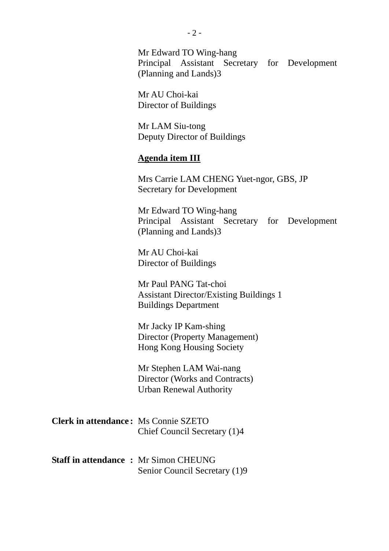Mr Edward TO Wing-hang Principal Assistant Secretary for Development (Planning and Lands)3

Mr AU Choi-kai Director of Buildings

Mr LAM Siu-tong Deputy Director of Buildings

#### **Agenda item III**

Mrs Carrie LAM CHENG Yuet-ngor, GBS, JP Secretary for Development

Mr Edward TO Wing-hang Principal Assistant Secretary for Development (Planning and Lands)3

Mr AU Choi-kai Director of Buildings

Mr Paul PANG Tat-choi Assistant Director/Existing Buildings 1 Buildings Department

Mr Jacky IP Kam-shing Director (Property Management) Hong Kong Housing Society

Mr Stephen LAM Wai-nang Director (Works and Contracts) Urban Renewal Authority

| <b>Clerk in attendance:</b> Ms Connie SZETO |                              |
|---------------------------------------------|------------------------------|
|                                             | Chief Council Secretary (1)4 |

|  | <b>Staff in attendance : Mr Simon CHEUNG</b> |
|--|----------------------------------------------|
|  | Senior Council Secretary (1)9                |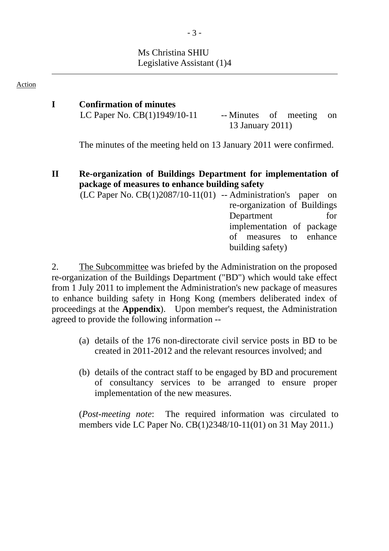## Ms Christina SHIU Legislative Assistant (1)4

#### Action

#### **I Confirmation of minutes** LC Paper No.  $CB(1)1949/10-11$  -- Minutes of meeting on 13 January 2011)

The minutes of the meeting held on 13 January 2011 were confirmed.

#### **II Re-organization of Buildings Department for implementation of package of measures to enhance building safety**

 $(LC$  Paper No.  $CB(1)2087/10-11(01)$  -- Administration's paper on re-organization of Buildings Department for implementation of package of measures to enhance building safety)

2. The Subcommittee was briefed by the Administration on the proposed re-organization of the Buildings Department ("BD") which would take effect from 1 July 2011 to implement the Administration's new package of measures to enhance building safety in Hong Kong (members deliberated index of proceedings at the **Appendix**). Upon member's request, the Administration agreed to provide the following information --

- (a) details of the 176 non-directorate civil service posts in BD to be created in 2011-2012 and the relevant resources involved; and
- (b) details of the contract staff to be engaged by BD and procurement of consultancy services to be arranged to ensure proper implementation of the new measures.

(*Post-meeting note*: The required information was circulated to members vide LC Paper No. CB(1)2348/10-11(01) on 31 May 2011.)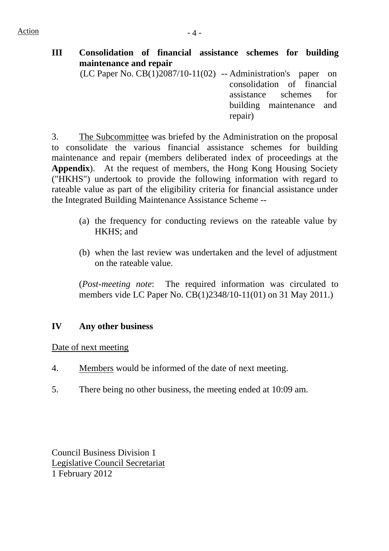**III Consolidation of financial assistance schemes for building maintenance and repair**  (LC Paper No.  $CB(1)2087/10-11(02)$  -- Administration's paper on

consolidation of financial assistance schemes for building maintenance and repair)

3. The Subcommittee was briefed by the Administration on the proposal to consolidate the various financial assistance schemes for building maintenance and repair (members deliberated index of proceedings at the **Appendix**). At the request of members, the Hong Kong Housing Society ("HKHS") undertook to provide the following information with regard to rateable value as part of the eligibility criteria for financial assistance under the Integrated Building Maintenance Assistance Scheme --

- (a) the frequency for conducting reviews on the rateable value by HKHS; and
- (b) when the last review was undertaken and the level of adjustment on the rateable value.

(*Post-meeting note*: The required information was circulated to members vide LC Paper No. CB(1)2348/10-11(01) on 31 May 2011.)

#### **IV Any other business**

Date of next meeting

- 4. Members would be informed of the date of next meeting.
- 5. There being no other business, the meeting ended at 10:09 am.

Council Business Division 1 Legislative Council Secretariat 1 February 2012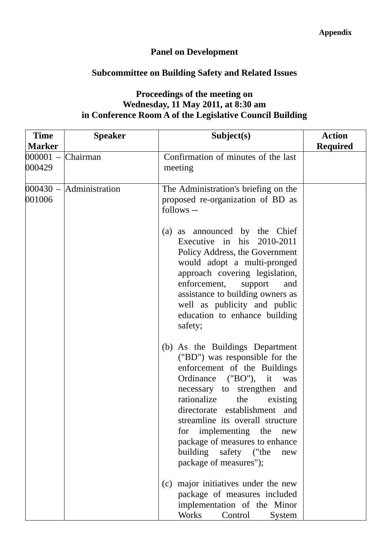# **Panel on Development**

# **Subcommittee on Building Safety and Related Issues**

## **Proceedings of the meeting on Wednesday, 11 May 2011, at 8:30 am in Conference Room A of the Legislative Council Building**

| <b>Time</b>                   | <b>Speaker</b>              | Subject(s)                                                                                                                                                                                                                                                                                                                                                                                        | <b>Action</b>   |
|-------------------------------|-----------------------------|---------------------------------------------------------------------------------------------------------------------------------------------------------------------------------------------------------------------------------------------------------------------------------------------------------------------------------------------------------------------------------------------------|-----------------|
| <b>Marker</b>                 |                             |                                                                                                                                                                                                                                                                                                                                                                                                   | <b>Required</b> |
| $000001 -$ Chairman<br>000429 |                             | Confirmation of minutes of the last<br>meeting                                                                                                                                                                                                                                                                                                                                                    |                 |
| 001006                        | $000430 -  $ Administration | The Administration's briefing on the<br>proposed re-organization of BD as<br>follows --                                                                                                                                                                                                                                                                                                           |                 |
|                               |                             | (a) as announced by the Chief<br>Executive in his 2010-2011<br>Policy Address, the Government<br>would adopt a multi-pronged<br>approach covering legislation,<br>enforcement,<br>support<br>and<br>assistance to building owners as<br>well as publicity and public<br>education to enhance building<br>safety;                                                                                  |                 |
|                               |                             | (b) As the Buildings Department<br>("BD") was responsible for the<br>enforcement of the Buildings<br>Ordinance ("BO"), it<br>was<br>necessary to strengthen<br>and<br>rationalize<br>the<br>existing<br>directorate establishment and<br>streamline its overall structure<br>for implementing the new<br>package of measures to enhance<br>building safety ("the<br>new<br>package of measures"); |                 |
|                               |                             | (c) major initiatives under the new<br>package of measures included<br>implementation of the Minor<br><b>Works</b><br>Control<br>System                                                                                                                                                                                                                                                           |                 |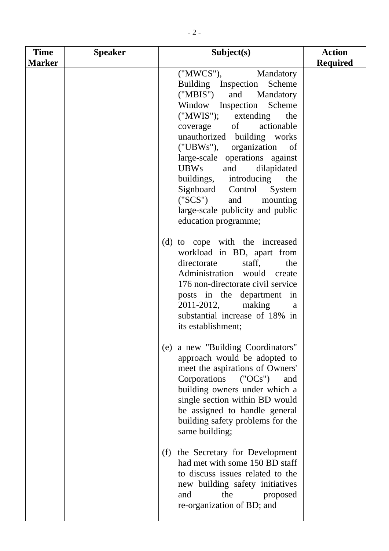| <b>Time</b>   | <b>Speaker</b> | Subject(s)                                                                                                                                                                                                                                                                                                                                                                                                                                                                       | <b>Action</b>   |
|---------------|----------------|----------------------------------------------------------------------------------------------------------------------------------------------------------------------------------------------------------------------------------------------------------------------------------------------------------------------------------------------------------------------------------------------------------------------------------------------------------------------------------|-----------------|
| <b>Marker</b> |                |                                                                                                                                                                                                                                                                                                                                                                                                                                                                                  | <b>Required</b> |
|               |                | ("MWCS"),<br>Mandatory<br>Building Inspection<br>Scheme<br>("MBIS")<br>and<br>Mandatory<br>Window Inspection Scheme<br>$("MWIS");$ extending<br>the<br>coverage of<br>actionable<br>unauthorized building works<br>("UBWs"), organization<br>of<br>large-scale operations against<br><b>UBWs</b><br>and<br>dilapidated<br>buildings, introducing<br>the<br>Signboard Control<br>System<br>("SCS")<br>and<br>mounting<br>large-scale publicity and public<br>education programme; |                 |
|               |                | (d) to cope with the increased<br>workload in BD, apart from<br>directorate<br>staff,<br>the<br>Administration would create<br>176 non-directorate civil service<br>posts in the department in<br>making<br>2011-2012,<br>a<br>substantial increase of 18% in<br>its establishment;                                                                                                                                                                                              |                 |
|               |                | (e) a new "Building Coordinators"<br>approach would be adopted to<br>meet the aspirations of Owners'<br>Corporations<br>(°OCs")<br>and<br>building owners under which a<br>single section within BD would<br>be assigned to handle general<br>building safety problems for the<br>same building;                                                                                                                                                                                 |                 |
|               |                | (f) the Secretary for Development<br>had met with some 150 BD staff<br>to discuss issues related to the<br>new building safety initiatives<br>the<br>proposed<br>and<br>re-organization of BD; and                                                                                                                                                                                                                                                                               |                 |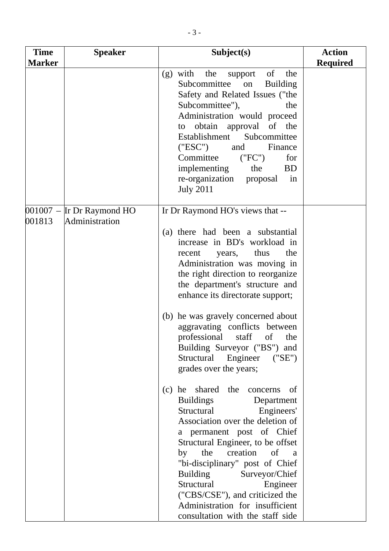| <b>Time</b>   | <b>Speaker</b>                                | Subject(s)                                                                                                                                                                                                                                                                                                                                                                                                                                  | <b>Action</b>   |
|---------------|-----------------------------------------------|---------------------------------------------------------------------------------------------------------------------------------------------------------------------------------------------------------------------------------------------------------------------------------------------------------------------------------------------------------------------------------------------------------------------------------------------|-----------------|
| <b>Marker</b> |                                               |                                                                                                                                                                                                                                                                                                                                                                                                                                             | <b>Required</b> |
|               |                                               | of<br>$(g)$ with<br>the<br>the<br>support<br>Subcommittee<br><b>Building</b><br>on<br>Safety and Related Issues ("the<br>Subcommittee"),<br>the<br>Administration would proceed<br>to obtain approval of the<br>Establishment Subcommittee<br>("ESC")<br>Finance<br>and<br>Committee<br>("FC")<br>for<br>implementing<br>the<br><b>BD</b><br>re-organization proposal<br>$\sin$<br><b>July 2011</b>                                         |                 |
| 001813        | $001007$ – Ir Dr Raymond HO<br>Administration | Ir Dr Raymond HO's views that --                                                                                                                                                                                                                                                                                                                                                                                                            |                 |
|               |                                               | (a) there had been a substantial<br>increase in BD's workload in<br>thus<br>the<br>years,<br>recent<br>Administration was moving in<br>the right direction to reorganize<br>the department's structure and<br>enhance its directorate support;<br>(b) he was gravely concerned about<br>aggravating conflicts between<br>professional staff of the<br>Building Surveyor ("BS") and<br>Structural Engineer ("SE")<br>grades over the years;  |                 |
|               |                                               | (c) he shared the concerns<br>of<br><b>Buildings</b><br>Department<br>Structural<br>Engineers'<br>Association over the deletion of<br>a permanent post of Chief<br>Structural Engineer, to be offset<br>the creation of a<br>by<br>"bi-disciplinary" post of Chief<br><b>Building</b><br>Surveyor/Chief<br>Structural<br>Engineer<br>("CBS/CSE"), and criticized the<br>Administration for insufficient<br>consultation with the staff side |                 |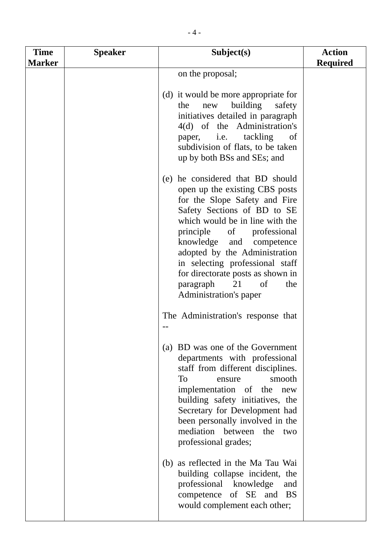| <b>Time</b><br><b>Marker</b> | <b>Speaker</b> | Subject(s)                                                                                                                                                                                                                                                                                                                                                                                           | <b>Action</b><br><b>Required</b> |
|------------------------------|----------------|------------------------------------------------------------------------------------------------------------------------------------------------------------------------------------------------------------------------------------------------------------------------------------------------------------------------------------------------------------------------------------------------------|----------------------------------|
|                              |                | on the proposal;                                                                                                                                                                                                                                                                                                                                                                                     |                                  |
|                              |                | (d) it would be more appropriate for<br>building<br>the<br>new<br>safety<br>initiatives detailed in paragraph<br>4(d) of the Administration's<br>tackling<br>paper, <i>i.e.</i><br>of<br>subdivision of flats, to be taken<br>up by both BSs and SEs; and                                                                                                                                            |                                  |
|                              |                | (e) he considered that BD should<br>open up the existing CBS posts<br>for the Slope Safety and Fire<br>Safety Sections of BD to SE<br>which would be in line with the<br>principle of professional<br>knowledge and<br>competence<br>adopted by the Administration<br>in selecting professional staff<br>for directorate posts as shown in<br>paragraph<br>21<br>of<br>the<br>Administration's paper |                                  |
|                              |                | The Administration's response that                                                                                                                                                                                                                                                                                                                                                                   |                                  |
|                              |                | (a) BD was one of the Government<br>departments with professional<br>staff from different disciplines.<br><b>To</b><br>smooth<br>ensure<br>implementation of the new<br>building safety initiatives, the<br>Secretary for Development had<br>been personally involved in the<br>mediation between the two<br>professional grades;                                                                    |                                  |
|                              |                | (b) as reflected in the Ma Tau Wai<br>building collapse incident, the<br>professional knowledge<br>and<br>competence of SE and BS<br>would complement each other;                                                                                                                                                                                                                                    |                                  |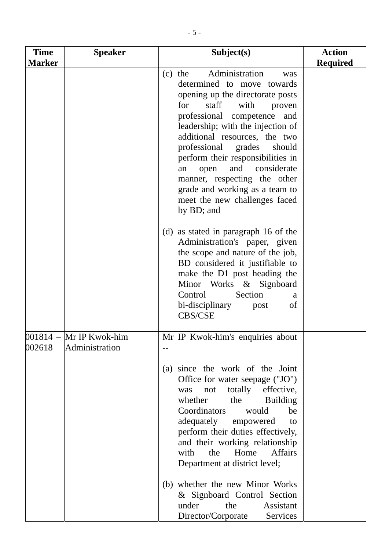| <b>Time</b>      | <b>Speaker</b>                   | Subject(s)                                                                                                                                                                                                                                                                                                                                                                                                                                                                                                                           | <b>Action</b>   |
|------------------|----------------------------------|--------------------------------------------------------------------------------------------------------------------------------------------------------------------------------------------------------------------------------------------------------------------------------------------------------------------------------------------------------------------------------------------------------------------------------------------------------------------------------------------------------------------------------------|-----------------|
| <b>Marker</b>    |                                  |                                                                                                                                                                                                                                                                                                                                                                                                                                                                                                                                      | <b>Required</b> |
|                  |                                  | Administration<br>$(c)$ the<br>was<br>determined to move towards<br>opening up the directorate posts<br>staff<br>for<br>with<br>proven<br>professional competence<br>and<br>leadership; with the injection of<br>additional resources, the two<br>professional grades<br>should<br>perform their responsibilities in<br>and considerate<br>open<br>an<br>manner, respecting the other<br>grade and working as a team to<br>meet the new challenges faced<br>by BD; and                                                               |                 |
|                  |                                  | (d) as stated in paragraph 16 of the<br>Administration's paper, given<br>the scope and nature of the job,<br>BD considered it justifiable to<br>make the D1 post heading the<br>Minor Works & Signboard<br>Section<br>Control<br>a<br>bi-disciplinary<br>of<br>post<br><b>CBS/CSE</b>                                                                                                                                                                                                                                                |                 |
| 001814<br>002618 | Mr IP Kwok-him<br>Administration | Mr IP Kwok-him's enquiries about<br>(a) since the work of the Joint<br>Office for water seepage ("JO")<br>totally<br>effective,<br>not<br>was<br>whether<br>the<br><b>Building</b><br>Coordinators<br>be<br>would<br>adequately<br>empowered<br>to<br>perform their duties effectively,<br>and their working relationship<br><b>Affairs</b><br>the<br>Home<br>with<br>Department at district level;<br>(b) whether the new Minor Works<br>& Signboard Control Section<br>under<br>the<br>Assistant<br>Director/Corporate<br>Services |                 |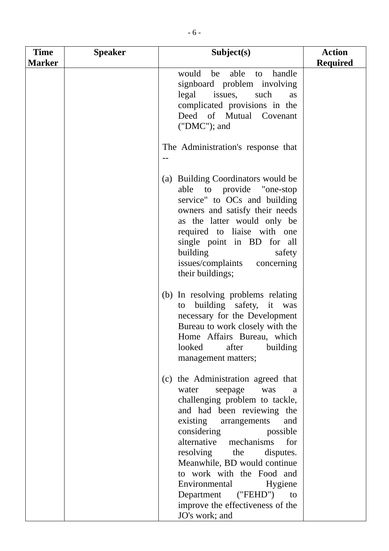| <b>Time</b><br><b>Marker</b> | <b>Speaker</b> | Subject(s)                                                                                                                                                                                                                                                                                                                                                                                                                               | <b>Action</b><br><b>Required</b> |
|------------------------------|----------------|------------------------------------------------------------------------------------------------------------------------------------------------------------------------------------------------------------------------------------------------------------------------------------------------------------------------------------------------------------------------------------------------------------------------------------------|----------------------------------|
|                              |                | would<br>able<br>handle<br>be<br>to<br>signboard problem involving<br>legal issues, such<br>as<br>complicated provisions in the<br>Deed of Mutual Covenant<br>$("DMC");$ and                                                                                                                                                                                                                                                             |                                  |
|                              |                | The Administration's response that                                                                                                                                                                                                                                                                                                                                                                                                       |                                  |
|                              |                | (a) Building Coordinators would be<br>able to provide "one-stop<br>service" to OCs and building<br>owners and satisfy their needs<br>as the latter would only be<br>required to liaise with one<br>single point in BD for all<br>building<br>safety<br>issues/complaints concerning<br>their buildings;                                                                                                                                  |                                  |
|                              |                | (b) In resolving problems relating<br>building safety, it was<br>to<br>necessary for the Development<br>Bureau to work closely with the<br>Home Affairs Bureau, which<br>after<br>building<br>looked<br>management matters;                                                                                                                                                                                                              |                                  |
|                              |                | (c) the Administration agreed that<br>water<br>seepage<br>was<br>a<br>challenging problem to tackle,<br>and had been reviewing the<br>existing arrangements<br>and<br>considering<br>possible<br>alternative mechanisms<br>for<br>resolving the<br>disputes.<br>Meanwhile, BD would continue<br>to work with the Food and<br>Environmental<br>Hygiene<br>Department<br>("FEHD") to<br>improve the effectiveness of the<br>JO's work; and |                                  |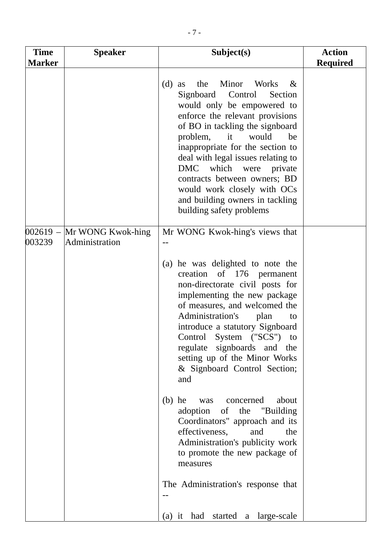| <b>Time</b>          | <b>Speaker</b>                      | Subject(s)                                                                                                                                                                                                                                                                                                                                                                                                                                         | <b>Action</b>   |
|----------------------|-------------------------------------|----------------------------------------------------------------------------------------------------------------------------------------------------------------------------------------------------------------------------------------------------------------------------------------------------------------------------------------------------------------------------------------------------------------------------------------------------|-----------------|
| <b>Marker</b>        |                                     |                                                                                                                                                                                                                                                                                                                                                                                                                                                    | <b>Required</b> |
|                      |                                     | Minor<br>(d)<br>the<br>Works<br>$-\&$<br>as<br>Signboard Control<br>Section<br>would only be empowered to<br>enforce the relevant provisions<br>of BO in tackling the signboard<br>problem,<br>it<br>would<br>be<br>inappropriate for the section to<br>deal with legal issues relating to<br>DMC which were private<br>contracts between owners; BD<br>would work closely with OCs<br>and building owners in tackling<br>building safety problems |                 |
| $002619 -$<br>003239 | Mr WONG Kwok-hing<br>Administration | Mr WONG Kwok-hing's views that                                                                                                                                                                                                                                                                                                                                                                                                                     |                 |
|                      |                                     | (a) he was delighted to note the<br>creation of 176 permanent<br>non-directorate civil posts for<br>implementing the new package<br>of measures, and welcomed the<br>Administration's<br>plan<br>to<br>introduce a statutory Signboard<br>Control System ("SCS") to<br>regulate signboards and the<br>setting up of the Minor Works<br>& Signboard Control Section;<br>and                                                                         |                 |
|                      |                                     | $(b)$ he<br>was concerned<br>about<br>adoption of the "Building"<br>Coordinators" approach and its<br>effectiveness,<br>and<br>the<br>Administration's publicity work<br>to promote the new package of<br>measures                                                                                                                                                                                                                                 |                 |
|                      |                                     | The Administration's response that<br>(a) it had started a large-scale                                                                                                                                                                                                                                                                                                                                                                             |                 |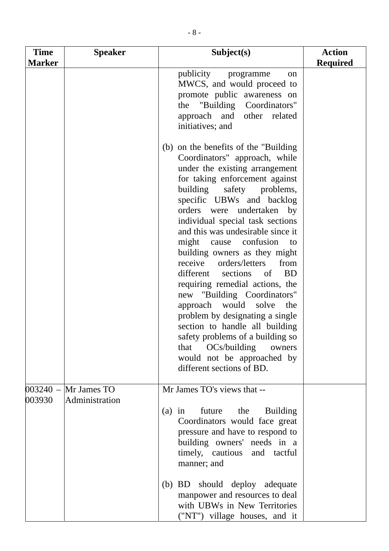| <b>Time</b><br><b>Marker</b> | <b>Speaker</b>                | Subject(s)                                                                                                                                                                                                                                                                                                                                                                                                                                                                                                                                                                                                                                                                                                                                                               | <b>Action</b><br><b>Required</b> |
|------------------------------|-------------------------------|--------------------------------------------------------------------------------------------------------------------------------------------------------------------------------------------------------------------------------------------------------------------------------------------------------------------------------------------------------------------------------------------------------------------------------------------------------------------------------------------------------------------------------------------------------------------------------------------------------------------------------------------------------------------------------------------------------------------------------------------------------------------------|----------------------------------|
|                              |                               | publicity programme<br>on<br>MWCS, and would proceed to<br>promote public awareness on<br>the "Building Coordinators"<br>approach and other related<br>initiatives; and                                                                                                                                                                                                                                                                                                                                                                                                                                                                                                                                                                                                  |                                  |
|                              |                               | (b) on the benefits of the "Building"<br>Coordinators" approach, while<br>under the existing arrangement<br>for taking enforcement against<br>building<br>safety problems,<br>specific UBWs and backlog<br>orders were undertaken<br>by<br>individual special task sections<br>and this was undesirable since it<br>cause confusion<br>might<br>to<br>building owners as they might<br>receive<br>orders/letters<br>from<br>different sections of<br><b>BD</b><br>requiring remedial actions, the<br>new "Building Coordinators"<br>approach would<br>solve<br>the<br>problem by designating a single<br>section to handle all building<br>safety problems of a building so<br>OCs/building<br>that<br>owners<br>would not be approached by<br>different sections of BD. |                                  |
| $003240 -$<br>003930         | Mr James TO<br>Administration | Mr James TO's views that --<br>future<br>the<br><b>Building</b><br>$(a)$ in<br>Coordinators would face great<br>pressure and have to respond to<br>building owners' needs in a<br>timely, cautious and tactful<br>manner; and                                                                                                                                                                                                                                                                                                                                                                                                                                                                                                                                            |                                  |
|                              |                               | (b) BD should deploy adequate<br>manpower and resources to deal<br>with UBWs in New Territories<br>("NT") village houses, and it                                                                                                                                                                                                                                                                                                                                                                                                                                                                                                                                                                                                                                         |                                  |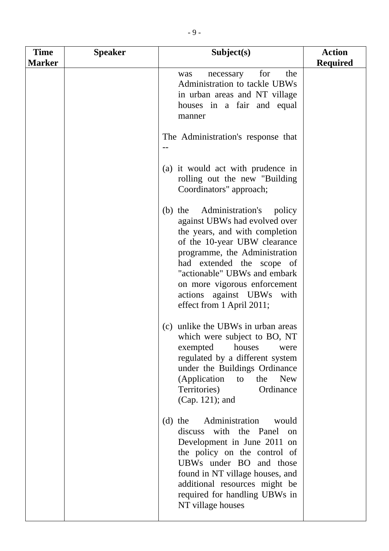| <b>Time</b><br><b>Marker</b> | <b>Speaker</b> | Subject(s)                                                                                                                                                                                                                                                                                                                    | <b>Action</b><br><b>Required</b> |
|------------------------------|----------------|-------------------------------------------------------------------------------------------------------------------------------------------------------------------------------------------------------------------------------------------------------------------------------------------------------------------------------|----------------------------------|
|                              |                | for<br>the<br>necessary<br>was<br>Administration to tackle UBWs<br>in urban areas and NT village<br>houses in a fair and equal<br>manner                                                                                                                                                                                      |                                  |
|                              |                | The Administration's response that                                                                                                                                                                                                                                                                                            |                                  |
|                              |                | (a) it would act with prudence in<br>rolling out the new "Building"<br>Coordinators" approach;                                                                                                                                                                                                                                |                                  |
|                              |                | (b) the Administration's<br>policy<br>against UBWs had evolved over<br>the years, and with completion<br>of the 10-year UBW clearance<br>programme, the Administration<br>had extended the scope of<br>"actionable" UBWs and embark<br>on more vigorous enforcement<br>actions against UBWs with<br>effect from 1 April 2011; |                                  |
|                              |                | (c) unlike the UBWs in urban areas<br>which were subject to BO, NT<br>exempted<br>houses<br>were<br>regulated by a different system<br>under the Buildings Ordinance<br>(Application<br><b>New</b><br>the<br>to<br>Territories)<br>Ordinance<br>(Cap. 121); and                                                               |                                  |
|                              |                | Administration<br>$(d)$ the<br>would<br>discuss with the Panel<br>on<br>Development in June 2011 on<br>the policy on the control of<br>UBWs under BO and those<br>found in NT village houses, and<br>additional resources might be<br>required for handling UBWs in<br>NT village houses                                      |                                  |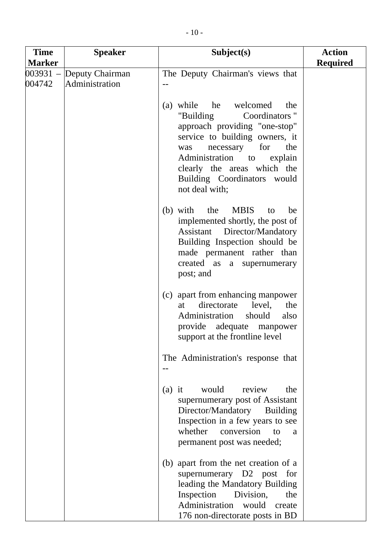| <b>Time</b>   | <b>Speaker</b>                             | Subject(s)                                                                                                                                                                                                                                                                         | <b>Action</b>   |
|---------------|--------------------------------------------|------------------------------------------------------------------------------------------------------------------------------------------------------------------------------------------------------------------------------------------------------------------------------------|-----------------|
| <b>Marker</b> |                                            |                                                                                                                                                                                                                                                                                    | <b>Required</b> |
| 004742        | 003931 – Deputy Chairman<br>Administration | The Deputy Chairman's views that                                                                                                                                                                                                                                                   |                 |
|               |                                            | (a) while<br>he welcomed<br>the<br>Coordinators"<br>"Building<br>approach providing "one-stop"<br>service to building owners, it<br>for<br>necessary<br>the<br>was<br>Administration to<br>explain<br>clearly the areas which the<br>Building Coordinators would<br>not deal with; |                 |
|               |                                            | the<br><b>MBIS</b><br>$(b)$ with<br>be<br>to<br>implemented shortly, the post of<br><b>Assistant</b> Director/Mandatory<br>Building Inspection should be<br>made permanent rather than<br>created as a supernumerary<br>post; and                                                  |                 |
|               |                                            | (c) apart from enhancing manpower<br>directorate<br>level,<br>the<br>at<br>Administration<br>should<br>also<br>provide adequate manpower<br>support at the frontline level                                                                                                         |                 |
|               |                                            | The Administration's response that                                                                                                                                                                                                                                                 |                 |
|               |                                            | would<br>review<br>$(a)$ it<br>the<br>supernumerary post of Assistant<br>Director/Mandatory Building<br>Inspection in a few years to see<br>whether<br>conversion<br>to<br><sub>a</sub><br>permanent post was needed;                                                              |                 |
|               |                                            | (b) apart from the net creation of a<br>supernumerary D2 post for<br>leading the Mandatory Building<br>Inspection<br>Division,<br>the<br>Administration<br>would<br>create<br>176 non-directorate posts in BD                                                                      |                 |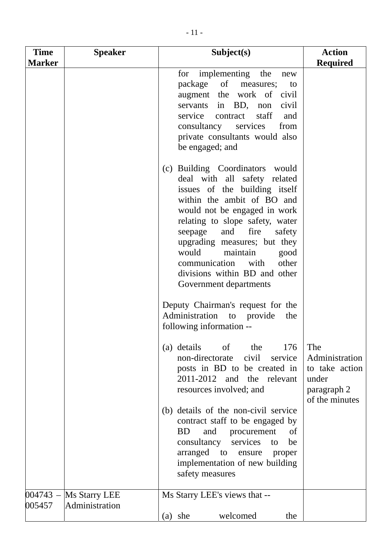| <b>Time</b><br><b>Marker</b> | <b>Speaker</b>                  | Subject(s)                                                                                                                                                                                                                                                                                                                                                                                   | <b>Action</b><br><b>Required</b>                                                  |
|------------------------------|---------------------------------|----------------------------------------------------------------------------------------------------------------------------------------------------------------------------------------------------------------------------------------------------------------------------------------------------------------------------------------------------------------------------------------------|-----------------------------------------------------------------------------------|
|                              |                                 | implementing the<br>for<br>new<br>package of measures;<br>to<br>augment the work of civil<br>servants in BD, non<br>civil<br>staff<br>service<br>contract<br>and<br>consultancy services<br>from<br>private consultants would also<br>be engaged; and                                                                                                                                        |                                                                                   |
|                              |                                 | (c) Building Coordinators would<br>deal with all safety related<br>issues of the building itself<br>within the ambit of BO and<br>would not be engaged in work<br>relating to slope safety, water<br>fire<br>and<br>seepage<br>safety<br>upgrading measures; but they<br>would maintain<br>good<br>communication<br>with<br>other<br>divisions within BD and other<br>Government departments |                                                                                   |
|                              |                                 | Deputy Chairman's request for the<br>Administration to provide<br>the<br>following information --                                                                                                                                                                                                                                                                                            |                                                                                   |
|                              |                                 | (a) details of the<br>176<br>civil<br>non-directorate<br>service<br>posts in BD to be created in<br>2011-2012 and the<br>relevant<br>resources involved; and                                                                                                                                                                                                                                 | The<br>Administration<br>to take action<br>under<br>paragraph 2<br>of the minutes |
|                              |                                 | (b) details of the non-civil service<br>contract staff to be engaged by<br><b>BD</b><br>and<br>procurement<br>of<br>consultancy<br>services<br>be<br>to<br>arranged to<br>ensure<br>proper<br>implementation of new building<br>safety measures                                                                                                                                              |                                                                                   |
| $004743 -$<br>005457         | Ms Starry LEE<br>Administration | Ms Starry LEE's views that --<br>welcomed<br>$(a)$ she<br>the                                                                                                                                                                                                                                                                                                                                |                                                                                   |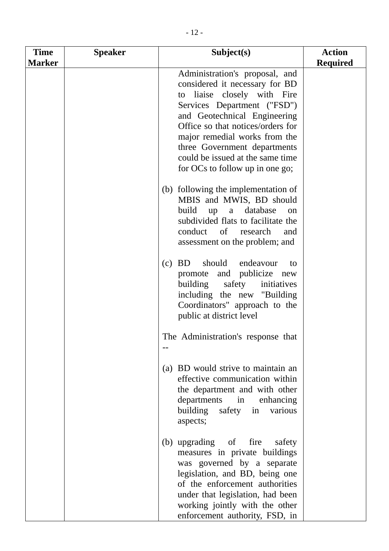| <b>Time</b>   | <b>Speaker</b> | Subject(s)                                                                                                                                                                                                                                                                                                                                  | <b>Action</b>   |
|---------------|----------------|---------------------------------------------------------------------------------------------------------------------------------------------------------------------------------------------------------------------------------------------------------------------------------------------------------------------------------------------|-----------------|
| <b>Marker</b> |                |                                                                                                                                                                                                                                                                                                                                             | <b>Required</b> |
|               |                | Administration's proposal, and<br>considered it necessary for BD<br>to liaise closely with Fire<br>Services Department ("FSD")<br>and Geotechnical Engineering<br>Office so that notices/orders for<br>major remedial works from the<br>three Government departments<br>could be issued at the same time<br>for OCs to follow up in one go; |                 |
|               |                | (b) following the implementation of<br>MBIS and MWIS, BD should<br>database<br>build<br>up<br>a<br>on<br>subdivided flats to facilitate the<br>conduct of research<br>and<br>assessment on the problem; and                                                                                                                                 |                 |
|               |                | should<br><b>BD</b><br>endeavour<br>(c)<br>to<br>promote and publicize new<br>building<br>safety<br>initiatives<br>including the new "Building"<br>Coordinators" approach to the<br>public at district level                                                                                                                                |                 |
|               |                | The Administration's response that                                                                                                                                                                                                                                                                                                          |                 |
|               |                | (a) BD would strive to maintain an<br>effective communication within<br>the department and with other<br>departments in<br>enhancing<br>safety<br>building<br>various<br>in<br>aspects;                                                                                                                                                     |                 |
|               |                | (b) upgrading of<br>fire<br>safety<br>measures in private buildings<br>was governed by a separate<br>legislation, and BD, being one<br>of the enforcement authorities<br>under that legislation, had been<br>working jointly with the other<br>enforcement authority, FSD, in                                                               |                 |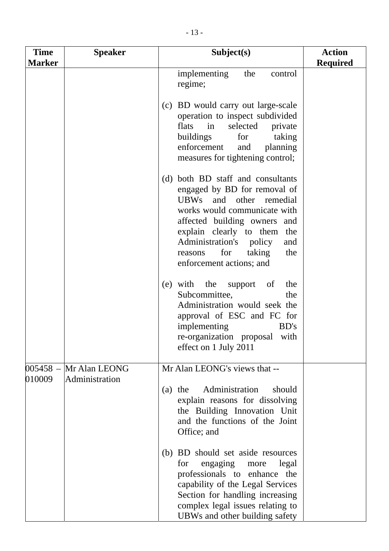| <b>Time</b>   | <b>Speaker</b>           | Subject(s)                                                                                                                                                                                                                                                                                      | <b>Action</b>   |
|---------------|--------------------------|-------------------------------------------------------------------------------------------------------------------------------------------------------------------------------------------------------------------------------------------------------------------------------------------------|-----------------|
| <b>Marker</b> |                          | implementing<br>the<br>control<br>regime;                                                                                                                                                                                                                                                       | <b>Required</b> |
|               |                          | (c) BD would carry out large-scale<br>operation to inspect subdivided<br>selected<br>flats<br>$\sin$<br>private<br>buildings<br>for<br>taking<br>enforcement<br>planning<br>and<br>measures for tightening control;                                                                             |                 |
|               |                          | (d) both BD staff and consultants<br>engaged by BD for removal of<br>UBWs and other remedial<br>works would communicate with<br>affected building owners and<br>explain clearly to them<br>the<br>Administration's policy<br>and<br>for<br>taking<br>the<br>reasons<br>enforcement actions; and |                 |
|               |                          | (e) with the support of<br>the<br>Subcommittee,<br>the<br>Administration would seek the<br>approval of ESC and FC for<br>implementing<br>BD's<br>re-organization proposal with<br>effect on 1 July 2011                                                                                         |                 |
| 010009        | $005458 - Mr$ Alan LEONG | Mr Alan LEONG's views that --                                                                                                                                                                                                                                                                   |                 |
|               | Administration           | (a) the Administration<br>should<br>explain reasons for dissolving<br>the Building Innovation Unit<br>and the functions of the Joint<br>Office; and                                                                                                                                             |                 |
|               |                          | (b) BD should set aside resources<br>engaging more<br>for<br>legal<br>professionals to enhance<br>the<br>capability of the Legal Services<br>Section for handling increasing<br>complex legal issues relating to<br>UBWs and other building safety                                              |                 |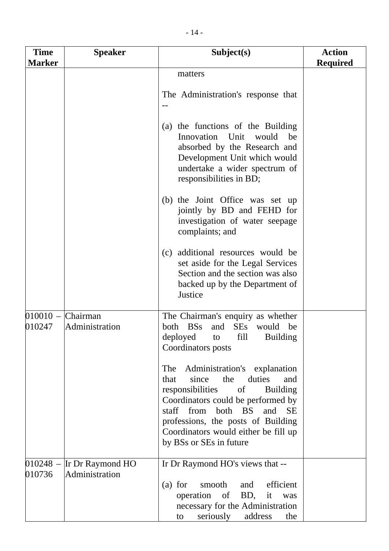| <b>Time</b><br><b>Marker</b>  | <b>Speaker</b>                                | Subject(s)                                                                                                                                                                                                                                                                                                                                                                                                                                                              | <b>Action</b><br><b>Required</b> |
|-------------------------------|-----------------------------------------------|-------------------------------------------------------------------------------------------------------------------------------------------------------------------------------------------------------------------------------------------------------------------------------------------------------------------------------------------------------------------------------------------------------------------------------------------------------------------------|----------------------------------|
|                               |                                               | matters<br>The Administration's response that                                                                                                                                                                                                                                                                                                                                                                                                                           |                                  |
|                               |                                               | (a) the functions of the Building<br>Innovation<br>Unit<br>would<br>be<br>absorbed by the Research and<br>Development Unit which would<br>undertake a wider spectrum of<br>responsibilities in BD;                                                                                                                                                                                                                                                                      |                                  |
|                               |                                               | (b) the Joint Office was set up<br>jointly by BD and FEHD for<br>investigation of water seepage<br>complaints; and                                                                                                                                                                                                                                                                                                                                                      |                                  |
|                               |                                               | additional resources would be<br>(c)<br>set aside for the Legal Services<br>Section and the section was also<br>backed up by the Department of<br>Justice                                                                                                                                                                                                                                                                                                               |                                  |
| $010010$ – Chairman<br>010247 | Administration                                | The Chairman's enquiry as whether<br>both BSs<br><b>SEs</b><br>and<br>would be<br>deployed<br>fill<br><b>Building</b><br>to<br>Coordinators posts<br>Administration's explanation<br>The<br>duties<br>the<br>since<br>and<br>that<br>responsibilities<br>of<br><b>Building</b><br>Coordinators could be performed by<br>staff from both BS<br>and<br><b>SE</b><br>professions, the posts of Building<br>Coordinators would either be fill up<br>by BSs or SEs in future |                                  |
| 010736                        | $010248$ – Ir Dr Raymond HO<br>Administration | Ir Dr Raymond HO's views that --<br>and efficient<br>$(a)$ for<br>smooth<br>BD, it<br>operation of<br>was<br>necessary for the Administration<br>seriously<br>address<br>the<br>to                                                                                                                                                                                                                                                                                      |                                  |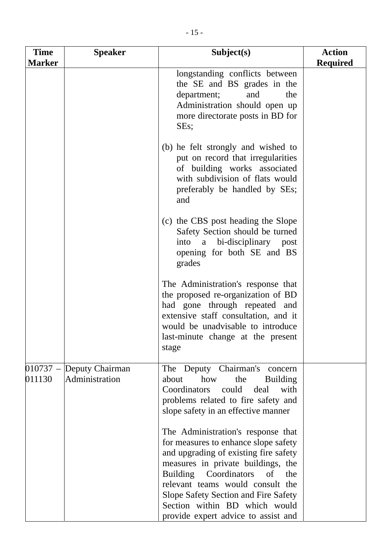| <b>Time</b><br><b>Marker</b> | <b>Speaker</b>                    | Subject(s)                                                                                                                                                                                                                                                                                                                                          | <b>Action</b><br><b>Required</b> |
|------------------------------|-----------------------------------|-----------------------------------------------------------------------------------------------------------------------------------------------------------------------------------------------------------------------------------------------------------------------------------------------------------------------------------------------------|----------------------------------|
|                              |                                   | longstanding conflicts between<br>the SE and BS grades in the<br>department;<br>and<br>the<br>Administration should open up<br>more directorate posts in BD for<br>SEs;                                                                                                                                                                             |                                  |
|                              |                                   | (b) he felt strongly and wished to<br>put on record that irregularities<br>of building works associated<br>with subdivision of flats would<br>preferably be handled by SEs;<br>and                                                                                                                                                                  |                                  |
|                              |                                   | (c) the CBS post heading the Slope<br>Safety Section should be turned<br>a bi-disciplinary post<br>into<br>opening for both SE and BS<br>grades                                                                                                                                                                                                     |                                  |
|                              |                                   | The Administration's response that<br>the proposed re-organization of BD<br>had gone through repeated and<br>extensive staff consultation, and it<br>would be unadvisable to introduce<br>last-minute change at the present<br>stage                                                                                                                |                                  |
| $010737 -$<br>011130         | Deputy Chairman<br>Administration | The Deputy Chairman's concern<br>how<br>the<br>about<br><b>Building</b><br>Coordinators could<br>deal<br>with<br>problems related to fire safety and<br>slope safety in an effective manner                                                                                                                                                         |                                  |
|                              |                                   | The Administration's response that<br>for measures to enhance slope safety<br>and upgrading of existing fire safety<br>measures in private buildings, the<br>Building Coordinators<br>of<br>the<br>relevant teams would consult the<br>Slope Safety Section and Fire Safety<br>Section within BD which would<br>provide expert advice to assist and |                                  |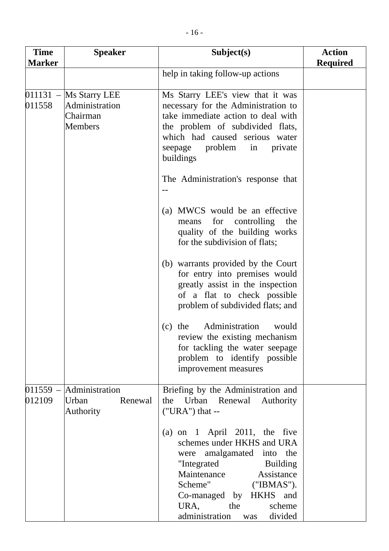| <b>Time</b><br><b>Marker</b> | <b>Speaker</b>                                                | Subject(s)                                                                                                                                                                                                                                                                | <b>Action</b><br><b>Required</b> |
|------------------------------|---------------------------------------------------------------|---------------------------------------------------------------------------------------------------------------------------------------------------------------------------------------------------------------------------------------------------------------------------|----------------------------------|
|                              |                                                               | help in taking follow-up actions                                                                                                                                                                                                                                          |                                  |
| $011131 -$<br>011558         | Ms Starry LEE<br>Administration<br>Chairman<br><b>Members</b> | Ms Starry LEE's view that it was<br>necessary for the Administration to<br>take immediate action to deal with<br>the problem of subdivided flats,<br>which had caused serious water<br>seepage problem in<br>private<br>buildings                                         |                                  |
|                              |                                                               | The Administration's response that                                                                                                                                                                                                                                        |                                  |
|                              |                                                               | (a) MWCS would be an effective<br>means for controlling the<br>quality of the building works<br>for the subdivision of flats;                                                                                                                                             |                                  |
|                              |                                                               | (b) warrants provided by the Court<br>for entry into premises would<br>greatly assist in the inspection<br>of a flat to check possible<br>problem of subdivided flats; and                                                                                                |                                  |
|                              |                                                               | Administration<br>would<br>(c)<br>the<br>review the existing mechanism<br>for tackling the water seepage<br>problem to identify possible<br>improvement measures                                                                                                          |                                  |
| $011559 -$<br>012109         | Administration<br>Urban<br>Renewal<br>Authority               | Briefing by the Administration and<br>the Urban Renewal<br>Authority<br>$("URA")$ that --                                                                                                                                                                                 |                                  |
|                              |                                                               | (a) on $1$ April 2011, the five<br>schemes under HKHS and URA<br>were amalgamated into the<br>"Integrated<br><b>Building</b><br>Maintenance<br>Assistance<br>Scheme"<br>("IBMAS").<br>Co-managed by HKHS and<br>URA,<br>the<br>scheme<br>administration<br>divided<br>was |                                  |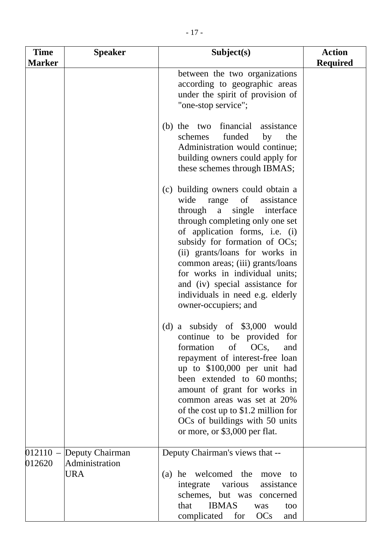| <b>Time</b>   | <b>Speaker</b> | Subject(s)                                                                                                                                                                                                                                                                                                                                                                                                | <b>Action</b>   |
|---------------|----------------|-----------------------------------------------------------------------------------------------------------------------------------------------------------------------------------------------------------------------------------------------------------------------------------------------------------------------------------------------------------------------------------------------------------|-----------------|
| <b>Marker</b> |                | between the two organizations<br>according to geographic areas<br>under the spirit of provision of<br>"one-stop service";                                                                                                                                                                                                                                                                                 | <b>Required</b> |
|               |                | (b) the two financial assistance<br>funded<br>schemes<br>by<br>the<br>Administration would continue;<br>building owners could apply for<br>these schemes through IBMAS;                                                                                                                                                                                                                                   |                 |
|               |                | (c) building owners could obtain a<br>wide range of assistance<br>through a single interface<br>through completing only one set<br>of application forms, i.e. (i)<br>subsidy for formation of OCs;<br>(ii) grants/loans for works in<br>common areas; (iii) grants/loans<br>for works in individual units;<br>and (iv) special assistance for<br>individuals in need e.g. elderly<br>owner-occupiers; and |                 |
|               |                | (d) a subsidy of $$3,000$ would<br>continue to be provided for<br>formation of OCs,<br>and<br>repayment of interest-free loan<br>up to \$100,000 per unit had<br>been extended to 60 months;<br>amount of grant for works in<br>common areas was set at 20%<br>of the cost up to \$1.2 million for<br>OCs of buildings with 50 units<br>or more or \$3,000 per flat                                       |                 |

|                                                          | or more, or \$3,000 per flat.                                                                     |
|----------------------------------------------------------|---------------------------------------------------------------------------------------------------|
| 012110 – Deputy Chairman<br>012620 Administration<br>URA | Deputy Chairman's views that --<br>he welcomed the move to<br>(a)<br>integrate various assistance |
|                                                          | schemes, but was concerned<br><b>IBMAS</b><br>that<br>too<br>was<br>complicated for OCs<br>and    |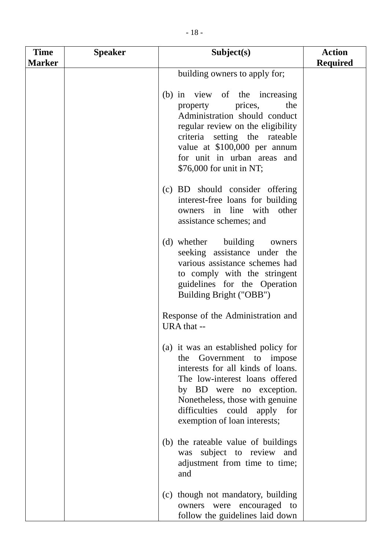| <b>Time</b>   | <b>Speaker</b> | Subject(s)                                                                                                                                                                                                                                                                | <b>Action</b>   |
|---------------|----------------|---------------------------------------------------------------------------------------------------------------------------------------------------------------------------------------------------------------------------------------------------------------------------|-----------------|
| <b>Marker</b> |                |                                                                                                                                                                                                                                                                           | <b>Required</b> |
|               |                | building owners to apply for;                                                                                                                                                                                                                                             |                 |
|               |                | (b) in view of the increasing<br>the<br>property<br>prices,<br>Administration should conduct<br>regular review on the eligibility<br>criteria setting the rateable<br>value at \$100,000 per annum<br>for unit in urban areas and<br>\$76,000 for unit in NT;             |                 |
|               |                | (c) BD should consider offering<br>interest-free loans for building<br>other<br>in line with<br>owners<br>assistance schemes; and                                                                                                                                         |                 |
|               |                | (d) whether building<br>owners<br>seeking assistance under the<br>various assistance schemes had<br>to comply with the stringent<br>guidelines for the Operation<br>Building Bright ("OBB")                                                                               |                 |
|               |                | Response of the Administration and<br>URA that --                                                                                                                                                                                                                         |                 |
|               |                | (a) it was an established policy for<br>the Government to impose<br>interests for all kinds of loans.<br>The low-interest loans offered<br>by BD were no exception.<br>Nonetheless, those with genuine<br>difficulties could apply<br>for<br>exemption of loan interests; |                 |
|               |                | (b) the rateable value of buildings<br>was subject to review and<br>adjustment from time to time;<br>and                                                                                                                                                                  |                 |
|               |                | (c) though not mandatory, building<br>were encouraged to<br>owners<br>follow the guidelines laid down                                                                                                                                                                     |                 |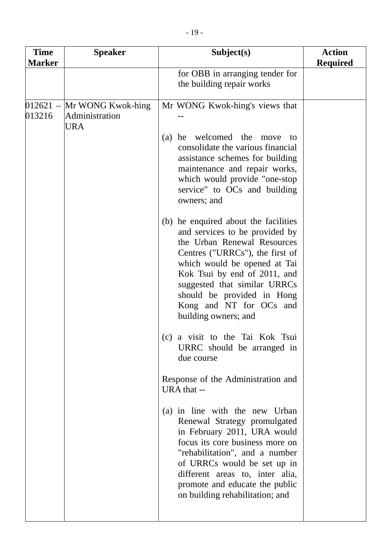| <b>Time</b><br><b>Marker</b> | <b>Speaker</b>                                               | Subject(s)                                                                                                                                                                                                                                                                                                                | <b>Action</b><br><b>Required</b> |
|------------------------------|--------------------------------------------------------------|---------------------------------------------------------------------------------------------------------------------------------------------------------------------------------------------------------------------------------------------------------------------------------------------------------------------------|----------------------------------|
|                              |                                                              | for OBB in arranging tender for<br>the building repair works                                                                                                                                                                                                                                                              |                                  |
| 013216                       | $012621 -$ Mr WONG Kwok-hing<br>Administration<br><b>URA</b> | Mr WONG Kwok-hing's views that                                                                                                                                                                                                                                                                                            |                                  |
|                              |                                                              | he welcomed the move<br>(a)<br>- to<br>consolidate the various financial<br>assistance schemes for building<br>maintenance and repair works,<br>which would provide "one-stop<br>service" to OCs and building<br>owners; and                                                                                              |                                  |
|                              |                                                              | (b) he enquired about the facilities<br>and services to be provided by<br>the Urban Renewal Resources<br>Centres ("URRCs"), the first of<br>which would be opened at Tai<br>Kok Tsui by end of 2011, and<br>suggested that similar URRCs<br>should be provided in Hong<br>Kong and NT for OCs and<br>building owners; and |                                  |
|                              |                                                              | (c) a visit to the Tai Kok Tsui<br>URRC should be arranged in<br>due course                                                                                                                                                                                                                                               |                                  |
|                              |                                                              | Response of the Administration and<br>URA that --                                                                                                                                                                                                                                                                         |                                  |
|                              |                                                              | (a) in line with the new Urban<br>Renewal Strategy promulgated<br>in February 2011, URA would<br>focus its core business more on<br>"rehabilitation", and a number<br>of URRCs would be set up in<br>different areas to, inter alia,<br>promote and educate the public                                                    |                                  |

on building rehabilitation; and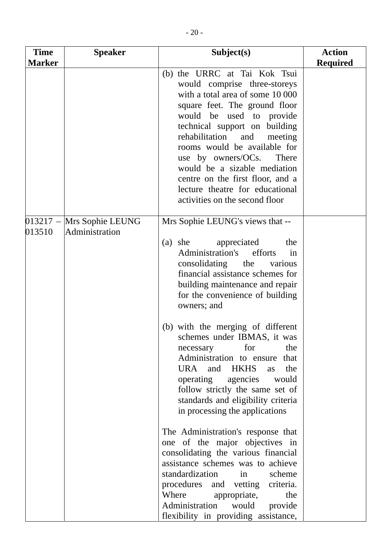| <b>Time</b>   | <b>Speaker</b>                              | Subject(s)                                                                                                                                                                                                                                                                                                                                                                                                                                                                                                                                                                                                                                                                                                               | <b>Action</b>   |
|---------------|---------------------------------------------|--------------------------------------------------------------------------------------------------------------------------------------------------------------------------------------------------------------------------------------------------------------------------------------------------------------------------------------------------------------------------------------------------------------------------------------------------------------------------------------------------------------------------------------------------------------------------------------------------------------------------------------------------------------------------------------------------------------------------|-----------------|
| <b>Marker</b> |                                             |                                                                                                                                                                                                                                                                                                                                                                                                                                                                                                                                                                                                                                                                                                                          | <b>Required</b> |
|               |                                             | (b) the URRC at Tai Kok Tsui<br>would comprise three-storeys<br>with a total area of some 10 000<br>square feet. The ground floor<br>would be used to provide<br>technical support on building<br>rehabilitation<br>and<br>meeting<br>rooms would be available for<br>use by owners/OCs. There<br>would be a sizable mediation<br>centre on the first floor, and a<br>lecture theatre for educational<br>activities on the second floor                                                                                                                                                                                                                                                                                  |                 |
| 013510        | 013217 - Mrs Sophie LEUNG<br>Administration | Mrs Sophie LEUNG's views that --                                                                                                                                                                                                                                                                                                                                                                                                                                                                                                                                                                                                                                                                                         |                 |
|               |                                             | $(a)$ she<br>appreciated<br>the<br>Administration's efforts<br>in<br>consolidating the<br>various<br>financial assistance schemes for<br>building maintenance and repair<br>for the convenience of building<br>owners; and<br>(b) with the merging of different<br>schemes under IBMAS, it was<br>for<br>the<br>necessary<br>Administration to ensure that<br>URA and HKHS<br>the<br>as<br>operating<br>agencies would<br>follow strictly the same set of<br>standards and eligibility criteria<br>in processing the applications<br>The Administration's response that<br>one of the major objectives in<br>consolidating the various financial<br>assistance schemes was to achieve<br>standardization<br>scheme<br>in |                 |
|               |                                             | procedures and vetting criteria.<br>Where<br>appropriate,<br>the<br>Administration<br>would<br>provide<br>flexibility in providing assistance,                                                                                                                                                                                                                                                                                                                                                                                                                                                                                                                                                                           |                 |